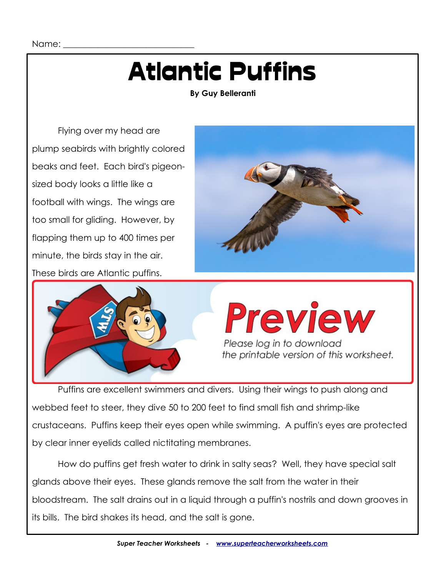Name:

### Atlantic Puffins

**By Guy Belleranti**

Flying over my head are plump seabirds with brightly colored beaks and feet. Each bird's pigeonsized body looks a little like a football with wings. The wings are too small for gliding. However, by flapping them up to 400 times per minute, the birds stay in the air. These birds are Atlantic puffins.





# Preview Please log in to download<br>the printable version of this worksheet.

Puffins are excellent swimmers and divers. Using their wings to push along and webbed feet to steer, they dive 50 to 200 feet to find small fish and shrimp-like crustaceans. Puffins keep their eyes open while swimming. A puffin's eyes are protected by clear inner eyelids called nictitating membranes.

How do puffins get fresh water to drink in salty seas? Well, they have special salt glands above their eyes. These glands remove the salt from the water in their bloodstream. The salt drains out in a liquid through a puffin's nostrils and down grooves in its bills. The bird shakes its head, and the salt is gone.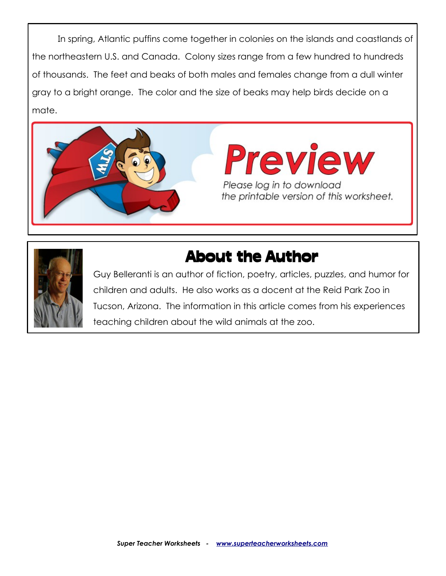In spring, Atlantic puffins come together in colonies on the islands and coastlands of the northeastern U.S. and Canada. Colony sizes range from a few hundred to hundreds of thousands. The feet and beaks of both males and females change from a dull winter gray to a bright orange. The color and the size of beaks may help birds decide on a mate.





### About the Author

Guy Belleranti is an author of fiction, poetry, articles, puzzles, and humor for children and adults. He also works as a docent at the Reid Park Zoo in Tucson, Arizona. The information in this article comes from his experiences teaching children about the wild animals at the zoo.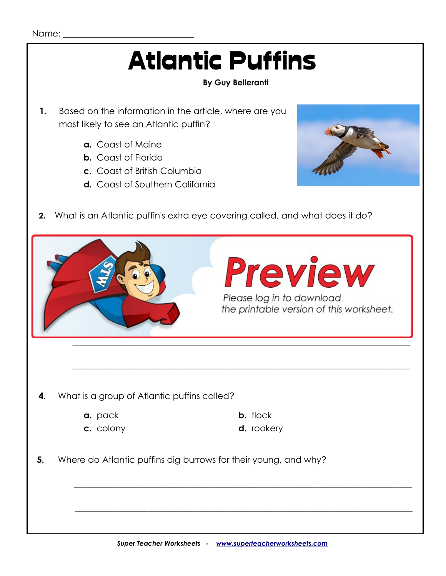\_\_\_\_\_\_\_\_\_\_\_\_\_\_\_\_\_\_\_\_\_\_\_\_\_\_\_\_\_\_\_\_\_\_\_\_\_\_\_\_\_\_\_\_\_\_\_\_\_\_\_\_\_\_\_\_\_\_\_\_\_\_\_\_\_\_\_\_\_\_\_\_\_\_\_\_\_\_\_\_\_\_\_\_\_\_\_\_

 $\mathcal{L}_\text{max} = \frac{1}{2} \sum_{i=1}^{n} \frac{1}{2} \sum_{i=1}^{n} \frac{1}{2} \sum_{i=1}^{n} \frac{1}{2} \sum_{i=1}^{n} \frac{1}{2} \sum_{i=1}^{n} \frac{1}{2} \sum_{i=1}^{n} \frac{1}{2} \sum_{i=1}^{n} \frac{1}{2} \sum_{i=1}^{n} \frac{1}{2} \sum_{i=1}^{n} \frac{1}{2} \sum_{i=1}^{n} \frac{1}{2} \sum_{i=1}^{n} \frac{1}{2} \sum_{i=1}^{n} \frac{1$ 

#### Name:

### Atlantic Puffins

### **By Guy Belleranti**

- **1.** Based on the information in the article, where are you most likely to see an Atlantic puffin?
	- **a.** Coast of Maine
	- **b.** Coast of Florida
	- **c.** Coast of British Columbia
	- **d.** Coast of Southern California
- **2.** What is an Atlantic puffin's extra eye covering called, and what does it do?



 $\mathcal{L}_\text{max} = \frac{1}{2} \sum_{i=1}^{n} \frac{1}{2} \sum_{i=1}^{n} \frac{1}{2} \sum_{i=1}^{n} \frac{1}{2} \sum_{i=1}^{n} \frac{1}{2} \sum_{i=1}^{n} \frac{1}{2} \sum_{i=1}^{n} \frac{1}{2} \sum_{i=1}^{n} \frac{1}{2} \sum_{i=1}^{n} \frac{1}{2} \sum_{i=1}^{n} \frac{1}{2} \sum_{i=1}^{n} \frac{1}{2} \sum_{i=1}^{n} \frac{1}{2} \sum_{i=1}^{n} \frac{1$ 

 $\mathcal{L}_\text{max} = \frac{1}{2} \sum_{i=1}^{n} \frac{1}{2} \sum_{i=1}^{n} \frac{1}{2} \sum_{i=1}^{n} \frac{1}{2} \sum_{i=1}^{n} \frac{1}{2} \sum_{i=1}^{n} \frac{1}{2} \sum_{i=1}^{n} \frac{1}{2} \sum_{i=1}^{n} \frac{1}{2} \sum_{i=1}^{n} \frac{1}{2} \sum_{i=1}^{n} \frac{1}{2} \sum_{i=1}^{n} \frac{1}{2} \sum_{i=1}^{n} \frac{1}{2} \sum_{i=1}^{n} \frac{1$ 

 $\Box$ 

- **4.** What is a group of Atlantic puffins called?
	- **a.** pack **b.** flock
	-
- 
- **c.** colony **d.** rookery
- **5.** Where do Atlantic puffins dig burrows for their young, and why?



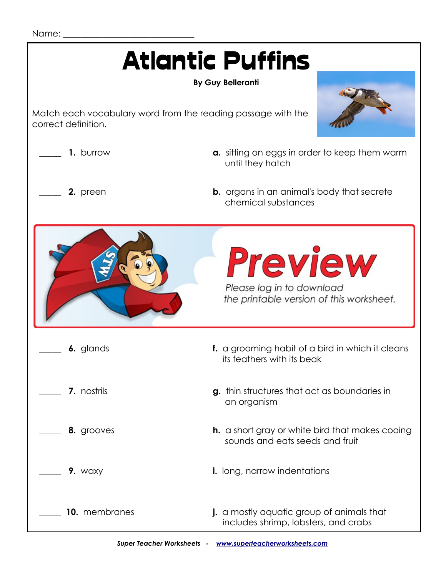| <b>Atlantic Puffins</b><br><b>By Guy Belleranti</b>                                 |                                                                                           |
|-------------------------------------------------------------------------------------|-------------------------------------------------------------------------------------------|
| Match each vocabulary word from the reading passage with the<br>correct definition. |                                                                                           |
| 1. burrow                                                                           | a. sitting on eggs in order to keep them warm<br>until they hatch                         |
| 2. preen                                                                            | <b>b.</b> organs in an animal's body that secrete<br>chemical substances                  |
|                                                                                     | <b>Preview</b><br>Please log in to download<br>the printable version of this worksheet.   |
| 6. glands                                                                           | f. a grooming habit of a bird in which it cleans<br>its feathers with its beak            |
| 7. nostrils                                                                         | g. thin structures that act as boundaries in<br>an organism                               |
| 8. grooves                                                                          | <b>h.</b> a short gray or white bird that makes cooing<br>sounds and eats seeds and fruit |
| 9. waxy                                                                             | <i>i.</i> long, narrow indentations                                                       |
| 10. membranes                                                                       | j. a mostly aquatic group of animals that<br>includes shrimp, lobsters, and crabs         |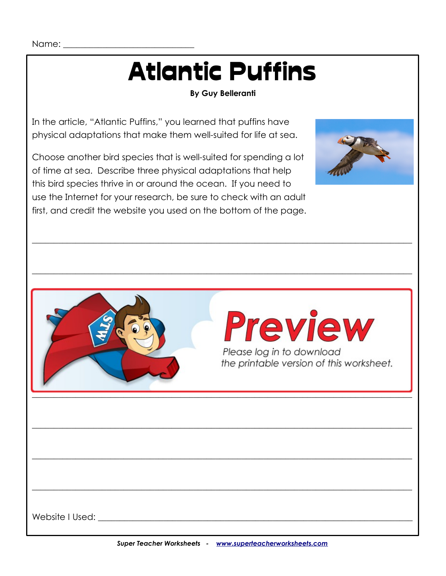Name:

# Atlantic Puffins

#### **By Guy Belleranti**

 $\_$  , and the set of the set of the set of the set of the set of the set of the set of the set of the set of the set of the set of the set of the set of the set of the set of the set of the set of the set of the set of th

 $\_$  , and the set of the set of the set of the set of the set of the set of the set of the set of the set of the set of the set of the set of the set of the set of the set of the set of the set of the set of the set of th

In the article, "Atlantic Puffins," you learned that puffins have physical adaptations that make them well-suited for life at sea.

Choose another bird species that is well-suited for spending a lot of time at sea. Describe three physical adaptations that help this bird species thrive in or around the ocean. If you need to use the Internet for your research, be sure to check with an adult first, and credit the website you used on the bottom of the page.





Website I Used:  $\blacksquare$ 

 $\_$  , and the set of the set of the set of the set of the set of the set of the set of the set of the set of the set of the set of the set of the set of the set of the set of the set of the set of the set of the set of th

 $\_$  , and the set of the set of the set of the set of the set of the set of the set of the set of the set of the set of the set of the set of the set of the set of the set of the set of the set of the set of the set of th

 $\_$  , and the set of the set of the set of the set of the set of the set of the set of the set of the set of the set of the set of the set of the set of the set of the set of the set of the set of the set of the set of th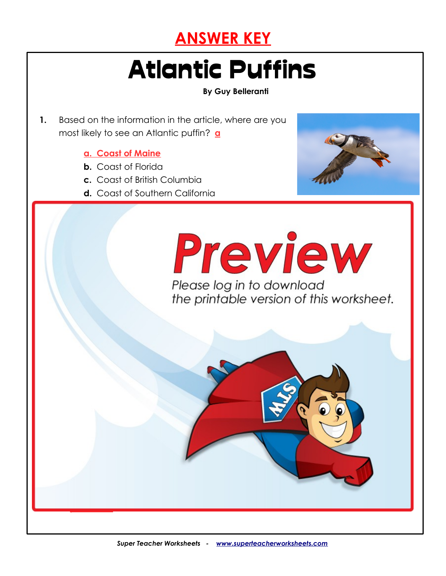

### Atlantic Puffins

**2. At is an Atlantic purchase of the atlantic purchase of the covering called, and what does it does it does it does it does it does it does it does it does it does it does it does it does it does it does it does it doe** 

**An Atlantic puffin's extra eye covering is called a nictitating membrane.**

 **preen glands helps to keep their feathers clean and dry.**

**b. pack of the contract of the contract of the contract of the contract of the contract of the contract of the contract of the contract of the contract of the contract of the contract of the contract of the contract of th c. d.** rookery **d.** rookery **d.** rook

*<b>S and where do Atlantic puffins dig burrows for the state of the state of the state of the state of the state* 

**4.** What is a group of Atlantic puffins called? **c**

 **predators.**

**It protects the puffin's eyes underwater so it can keep them open while swimming.**

**(Answers will vary.) Examples: Their feathers trap air close to their skin to keep** 

**The main affine and the them after a straight and their wings are away from the straight and their wings are a used to properly the water. The water special salt glands the water. The water help them filter out salt so the oil from the oil from the oil from the oil from the oil from the oil** 

**By Guy Belleranti**

- **1.** Based on the information in the article, where are you most likely to see an Atlantic puffin? **a**
	- **a. Coast of Maine**
	- **b.** Coast of Florida
	- **c.** Coast of British Columbia
	- **d.** Coast of Southern California



Please log in to download the printable version of this worksheet.